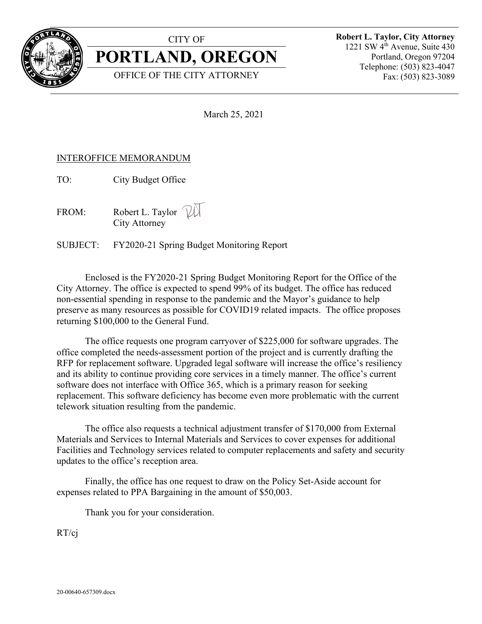

## CITY OF

**PORTLAND, OREGON**

OFFICE OF THE CITY ATTORNEY

**Robert L. Taylor, City Attorney** 1221 SW 4<sup>th</sup> Avenue, Suite 430 Portland, Oregon 97204 Telephone: (503) 823-4047 Fax: (503) 823-3089

March 25, 2021

# INTEROFFICE MEMORANDUM

TO: City Budget Office

FROM: Robert L. Taylor  $\mathbb{W}$ City Attorney

SUBJECT: FY2020-21 Spring Budget Monitoring Report

Enclosed is the FY2020-21 Spring Budget Monitoring Report for the Office of the City Attorney. The office is expected to spend 99% of its budget. The office has reduced non-essential spending in response to the pandemic and the Mayor's guidance to help preserve as many resources as possible for COVID19 related impacts. The office proposes returning \$100,000 to the General Fund.

The office requests one program carryover of \$225,000 for software upgrades. The office completed the needs-assessment portion of the project and is currently drafting the RFP for replacement software. Upgraded legal software will increase the office's resiliency and its ability to continue providing core services in a timely manner. The office's current software does not interface with Office 365, which is a primary reason for seeking replacement. This software deficiency has become even more problematic with the current telework situation resulting from the pandemic.

The office also requests a technical adjustment transfer of \$170,000 from External Materials and Services to Internal Materials and Services to cover expenses for additional Facilities and Technology services related to computer replacements and safety and security updates to the office's reception area.

Finally, the office has one request to draw on the Policy Set-Aside account for expenses related to PPA Bargaining in the amount of \$50,003.

Thank you for your consideration.

RT/cj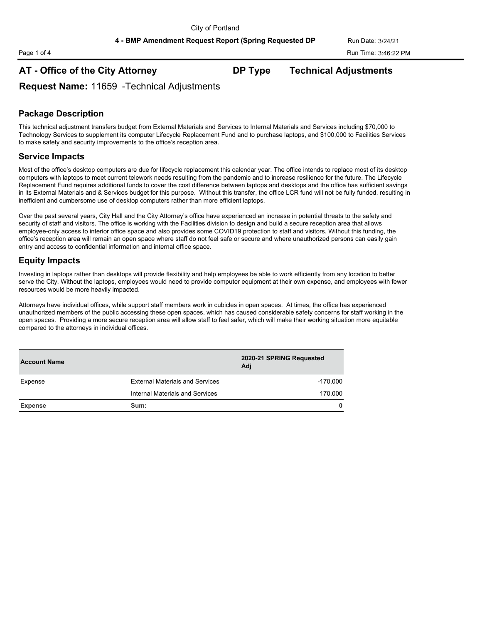# **AT - Office of the City Attorney DP Type Technical Adjustments**

**Request Name:** 11659 -Technical Adjustments

## **Package Description**

This technical adjustment transfers budget from External Materials and Services to Internal Materials and Services including \$70,000 to Technology Services to supplement its computer Lifecycle Replacement Fund and to purchase laptops, and \$100,000 to Facilities Services to make safety and security improvements to the office's reception area.

### **Service Impacts**

Most of the office's desktop computers are due for lifecycle replacement this calendar year. The office intends to replace most of its desktop computers with laptops to meet current telework needs resulting from the pandemic and to increase resilience for the future. The Lifecycle Replacement Fund requires additional funds to cover the cost difference between laptops and desktops and the office has sufficient savings in its External Materials and & Services budget for this purpose. Without this transfer, the office LCR fund will not be fully funded, resulting in inefficient and cumbersome use of desktop computers rather than more efficient laptops.

Over the past several years, City Hall and the City Attorney's office have experienced an increase in potential threats to the safety and security of staff and visitors. The office is working with the Facilities division to design and build a secure reception area that allows employee-only access to interior office space and also provides some COVID19 protection to staff and visitors. Without this funding, the office's reception area will remain an open space where staff do not feel safe or secure and where unauthorized persons can easily gain entry and access to confidential information and internal office space.

### **Equity Impacts**

Investing in laptops rather than desktops will provide flexibility and help employees be able to work efficiently from any location to better serve the City. Without the laptops, employees would need to provide computer equipment at their own expense, and employees with fewer resources would be more heavily impacted.

Attorneys have individual offices, while support staff members work in cubicles in open spaces. At times, the office has experienced unauthorized members of the public accessing these open spaces, which has caused considerable safety concerns for staff working in the open spaces. Providing a more secure reception area will allow staff to feel safer, which will make their working situation more equitable compared to the attorneys in individual offices.

| <b>Account Name</b> |                                        | 2020-21 SPRING Requested<br>Adi |  |
|---------------------|----------------------------------------|---------------------------------|--|
| Expense             | <b>External Materials and Services</b> | $-170,000$                      |  |
|                     | Internal Materials and Services        | 170,000                         |  |
| <b>Expense</b>      | Sum:                                   | 0                               |  |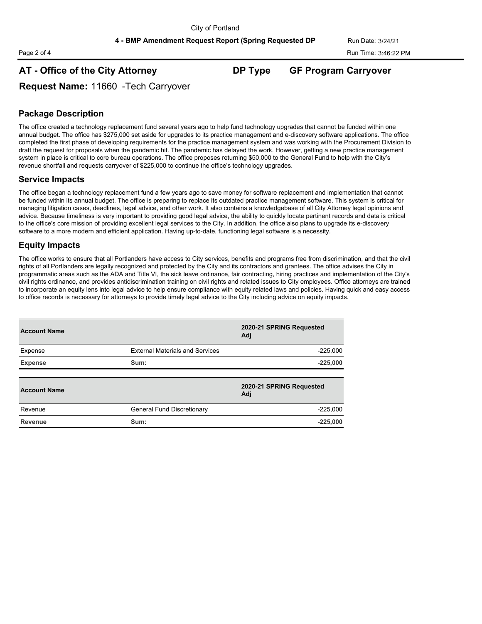## **AT - Office of the City Attorney DP Type GF Program Carryover**

**Request Name:** 11660 -Tech Carryover

## **Package Description**

The office created a technology replacement fund several years ago to help fund technology upgrades that cannot be funded within one annual budget. The office has \$275,000 set aside for upgrades to its practice management and e-discovery software applications. The office completed the first phase of developing requirements for the practice management system and was working with the Procurement Division to draft the request for proposals when the pandemic hit. The pandemic has delayed the work. However, getting a new practice management system in place is critical to core bureau operations. The office proposes returning \$50,000 to the General Fund to help with the City's revenue shortfall and requests carryover of \$225,000 to continue the office's technology upgrades.

#### **Service Impacts**

The office began a technology replacement fund a few years ago to save money for software replacement and implementation that cannot be funded within its annual budget. The office is preparing to replace its outdated practice management software. This system is critical for managing litigation cases, deadlines, legal advice, and other work. It also contains a knowledgebase of all City Attorney legal opinions and advice. Because timeliness is very important to providing good legal advice, the ability to quickly locate pertinent records and data is critical to the office's core mission of providing excellent legal services to the City. In addition, the office also plans to upgrade its e-discovery software to a more modern and efficient application. Having up-to-date, functioning legal software is a necessity.

## **Equity Impacts**

The office works to ensure that all Portlanders have access to City services, benefits and programs free from discrimination, and that the civil rights of all Portlanders are legally recognized and protected by the City and its contractors and grantees. The office advises the City in programmatic areas such as the ADA and Title VI, the sick leave ordinance, fair contracting, hiring practices and implementation of the City's civil rights ordinance, and provides antidiscrimination training on civil rights and related issues to City employees. Office attorneys are trained to incorporate an equity lens into legal advice to help ensure compliance with equity related laws and policies. Having quick and easy access to office records is necessary for attorneys to provide timely legal advice to the City including advice on equity impacts.

| <b>Account Name</b> |                                        | 2020-21 SPRING Requested<br>Adj |  |
|---------------------|----------------------------------------|---------------------------------|--|
| Expense             | <b>External Materials and Services</b> | $-225.000$                      |  |
| <b>Expense</b>      | Sum:                                   | $-225,000$                      |  |
|                     |                                        |                                 |  |
| <b>Account Name</b> |                                        | 2020-21 SPRING Requested<br>Adj |  |
| Revenue             | General Fund Discretionary             | $-225.000$                      |  |
| Revenue             | Sum:                                   | $-225,000$                      |  |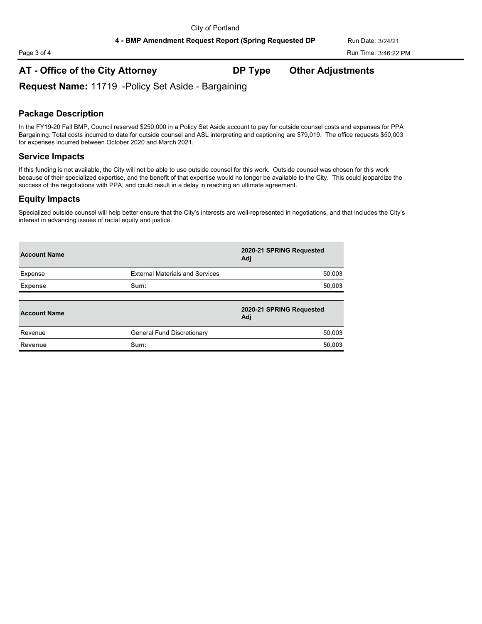# **AT - Office of the City Attorney DP Type Other Adjustments**

**Request Name:** 11719 -Policy Set Aside - Bargaining

## **Package Description**

In the FY19-20 Fall BMP, Council reserved \$250,000 in a Policy Set Aside account to pay for outside counsel costs and expenses for PPA Bargaining. Total costs incurred to date for outside counsel and ASL interpreting and captioning are \$79,019. The office requests \$50,003 for expenses incurred between October 2020 and March 2021.

#### **Service Impacts**

If this funding is not available, the City will not be able to use outside counsel for this work. Outside counsel was chosen for this work because of their specialized expertise, and the benefit of that expertise would no longer be available to the City. This could jeopardize the success of the negotiations with PPA, and could result in a delay in reaching an ultimate agreement.

### **Equity Impacts**

Specialized outside counsel will help better ensure that the City's interests are well-represented in negotiations, and that includes the City's interest in advancing issues of racial equity and justice.

| <b>Account Name</b> |                                        | 2020-21 SPRING Requested<br>Adi |  |
|---------------------|----------------------------------------|---------------------------------|--|
| Expense             | <b>External Materials and Services</b> | 50,003                          |  |
| <b>Expense</b>      | Sum:                                   | 50,003                          |  |
| <b>Account Name</b> |                                        | 2020-21 SPRING Requested<br>Adi |  |
| Revenue             | General Fund Discretionary             | 50.003                          |  |
| Revenue             | Sum:                                   | 50,003                          |  |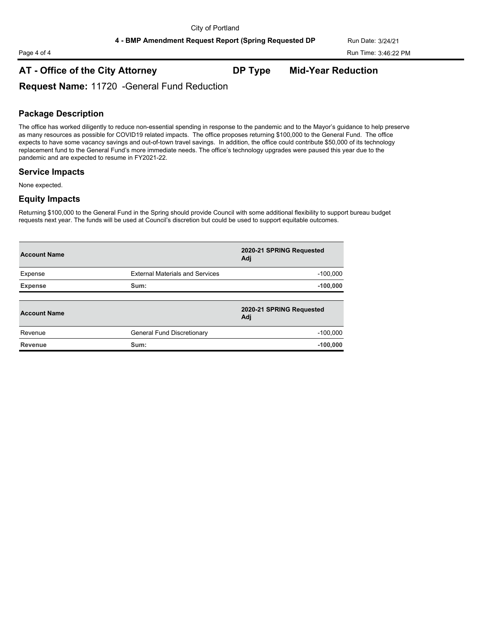# **AT - Office of the City Attorney DP Type Mid-Year Reduction**

**Request Name:** 11720 -General Fund Reduction

## **Package Description**

The office has worked diligently to reduce non-essential spending in response to the pandemic and to the Mayor's guidance to help preserve as many resources as possible for COVID19 related impacts. The office proposes returning \$100,000 to the General Fund. The office expects to have some vacancy savings and out-of-town travel savings. In addition, the office could contribute \$50,000 of its technology replacement fund to the General Fund's more immediate needs. The office's technology upgrades were paused this year due to the pandemic and are expected to resume in FY2021-22.

### **Service Impacts**

None expected.

#### **Equity Impacts**

Returning \$100,000 to the General Fund in the Spring should provide Council with some additional flexibility to support bureau budget requests next year. The funds will be used at Council's discretion but could be used to support equitable outcomes.

| <b>Account Name</b> |                                        | 2020-21 SPRING Requested<br>Adj |  |
|---------------------|----------------------------------------|---------------------------------|--|
| Expense             | <b>External Materials and Services</b> | $-100,000$                      |  |
| <b>Expense</b>      | Sum:                                   | $-100,000$                      |  |
| <b>Account Name</b> |                                        | 2020-21 SPRING Requested<br>Adj |  |
| Revenue             | General Fund Discretionary             | $-100.000$                      |  |
| Revenue             | Sum:                                   | $-100,000$                      |  |